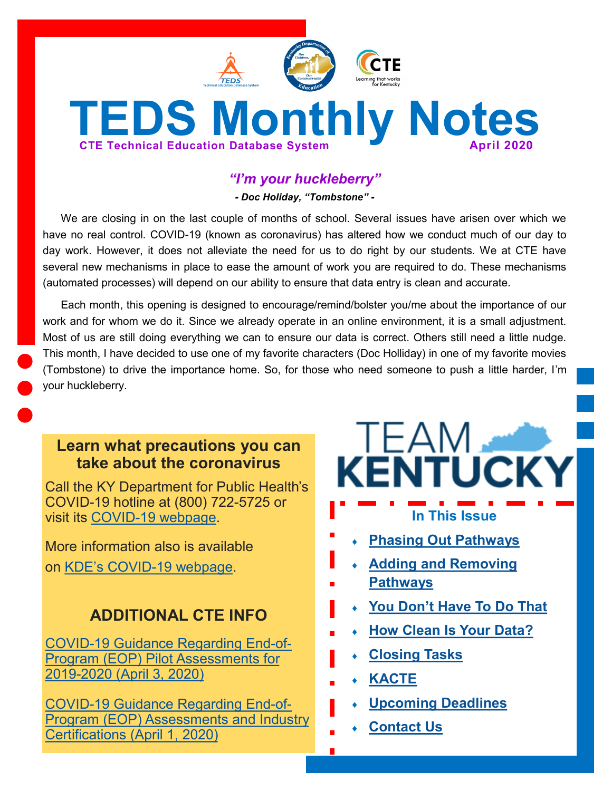

# *"I'm your huckleberry"*

*- Doc Holiday, "Tombstone" -*

We are closing in on the last couple of months of school. Several issues have arisen over which we have no real control. COVID-19 (known as coronavirus) has altered how we conduct much of our day to day work. However, it does not alleviate the need for us to do right by our students. We at CTE have several new mechanisms in place to ease the amount of work you are required to do. These mechanisms (automated processes) will depend on our ability to ensure that data entry is clean and accurate.

Each month, this opening is designed to encourage/remind/bolster you/me about the importance of our work and for whom we do it. Since we already operate in an online environment, it is a small adjustment. Most of us are still doing everything we can to ensure our data is correct. Others still need a little nudge. This month, I have decided to use one of my favorite characters (Doc Holliday) in one of my favorite movies (Tombstone) to drive the importance home. So, for those who need someone to push a little harder, I'm your huckleberry.

# **Learn what precautions you can take about the coronavirus**

Call the KY Department for Public Health's COVID-19 hotline at (800) 722-5725 or visit its COVID-[19 webpage.](https://chfs.ky.gov/agencies/dph/pages/covid19.aspx)

More information also is available on KDE's COVID-[19 webpage.](https://education.ky.gov/comm/Pages/COVID-19-Updates.aspx)

# **ADDITIONAL CTE INFO**

COVID-[19 Guidance Regarding End](https://education.ky.gov/CTE/endofprog/Documents/20-04-03_CTE_EOP_Pilot_Assessments_Update.pdf)-of-[Program \(EOP\) Pilot Assessments for](https://education.ky.gov/CTE/endofprog/Documents/20-04-03_CTE_EOP_Pilot_Assessments_Update.pdf)  2019-[2020 \(April 3, 2020\)](https://education.ky.gov/CTE/endofprog/Documents/20-04-03_CTE_EOP_Pilot_Assessments_Update.pdf)

COVID-[19 Guidance Regarding End](https://education.ky.gov/CTE/endofprog/Documents/20-04-01_CTE_Assessment_Industry_Certification_Communication.pdf)-of-[Program \(EOP\) Assessments and Industry](https://education.ky.gov/CTE/endofprog/Documents/20-04-01_CTE_Assessment_Industry_Certification_Communication.pdf)  [Certifications \(April 1, 2020\)](https://education.ky.gov/CTE/endofprog/Documents/20-04-01_CTE_Assessment_Industry_Certification_Communication.pdf)

# **TEAM KENTUCKY**

# **In This Issue**

- **[Phasing Out Pathways](#page-1-0)**
- **[Adding and Removing](#page-1-0)**
- **[Pathways](#page-1-0)**
- **You Don'[t Have To Do That](#page-1-0)**
- **[How Clean Is Your Data?](#page-2-0)**
- **[Closing Tasks](#page-2-0)**
- **[KACTE](#page-3-0)**
	- **[Upcoming Deadlines](#page-3-0)**
	- **[Contact Us](#page-3-0)**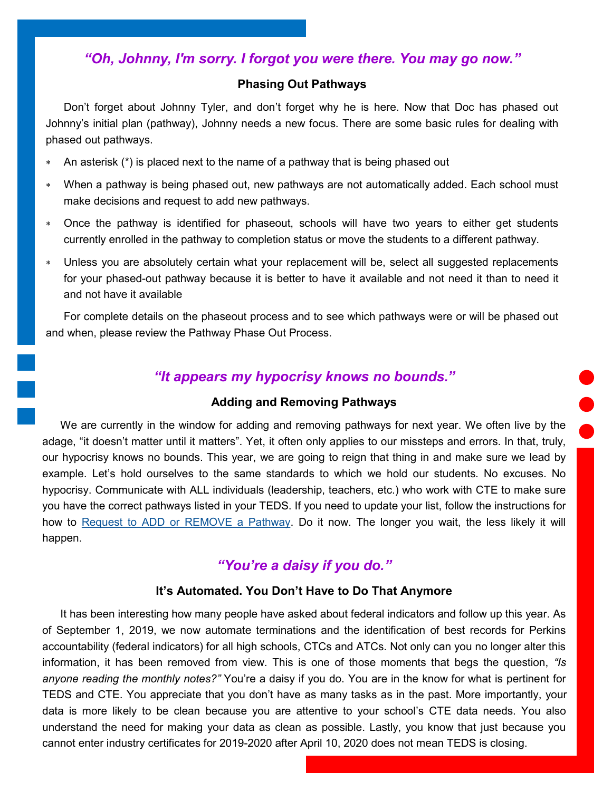## <span id="page-1-0"></span>*"Oh, Johnny, I'm sorry. I forgot you were there. You may go now."*

#### **Phasing Out Pathways**

Don't forget about Johnny Tyler, and don't forget why he is here. Now that Doc has phased out Johnny's initial plan (pathway), Johnny needs a new focus. There are some basic rules for dealing with phased out pathways.

- An asterisk (\*) is placed next to the name of a pathway that is being phased out
- When a pathway is being phased out, new pathways are not automatically added. Each school must make decisions and request to add new pathways.
- Once the pathway is identified for phaseout, schools will have two years to either get students currently enrolled in the pathway to completion status or move the students to a different pathway.
- Unless you are absolutely certain what your replacement will be, select all suggested replacements for your phased-out pathway because it is better to have it available and not need it than to need it and not have it available

For complete details on the phaseout process and to see which pathways were or will be phased out and when, please review the Pathway Phase Out Process.

## *"It appears my hypocrisy knows no bounds."*

#### **Adding and Removing Pathways**

We are currently in the window for adding and removing pathways for next year. We often live by the adage, "it doesn't matter until it matters". Yet, it often only applies to our missteps and errors. In that, truly, our hypocrisy knows no bounds. This year, we are going to reign that thing in and make sure we lead by example. Let's hold ourselves to the same standards to which we hold our students. No excuses. No hypocrisy. Communicate with ALL individuals (leadership, teachers, etc.) who work with CTE to make sure you have the correct pathways listed in your TEDS. If you need to update your list, follow the instructions for how to [Request to ADD or REMOVE a Pathway.](https://education.ky.gov/CTE/teds/Documents/Add-Remove_Existing_Pathway_in_TEDS.pdf) Do it now. The longer you wait, the less likely it will happen.

## *"You're a daisy if you do."*

#### **It's Automated. You Don't Have to Do That Anymore**

It has been interesting how many people have asked about federal indicators and follow up this year. As of September 1, 2019, we now automate terminations and the identification of best records for Perkins accountability (federal indicators) for all high schools, CTCs and ATCs. Not only can you no longer alter this information, it has been removed from view. This is one of those moments that begs the question, *"Is anyone reading the monthly notes?"* You're a daisy if you do. You are in the know for what is pertinent for TEDS and CTE. You appreciate that you don't have as many tasks as in the past. More importantly, your data is more likely to be clean because you are attentive to your school's CTE data needs. You also understand the need for making your data as clean as possible. Lastly, you know that just because you cannot enter industry certificates for 2019-2020 after April 10, 2020 does not mean TEDS is closing.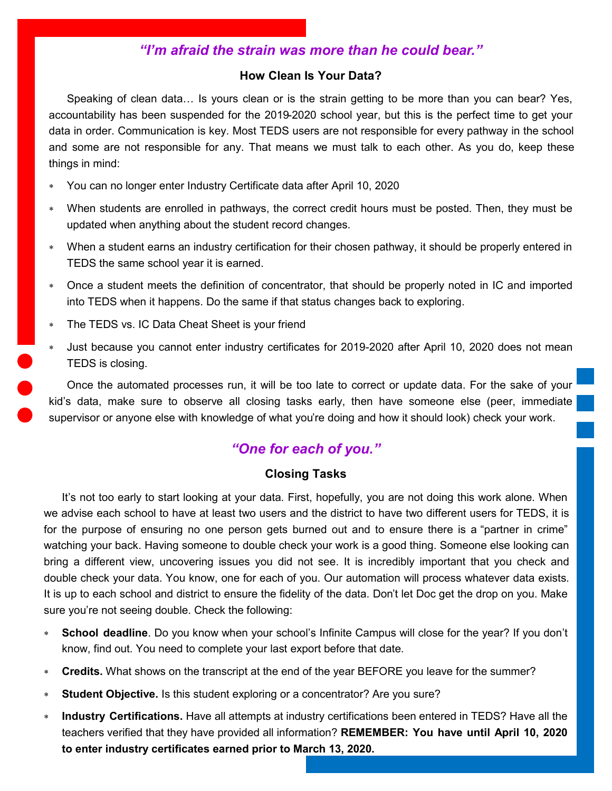# *"I'm afraid the strain was more than he could bear."*

#### **How Clean Is Your Data?**

<span id="page-2-0"></span>Speaking of clean data… Is yours clean or is the strain getting to be more than you can bear? Yes, accountability has been suspended for the 2019-2020 school year, but this is the perfect time to get your data in order. Communication is key. Most TEDS users are not responsible for every pathway in the school and some are not responsible for any. That means we must talk to each other. As you do, keep these things in mind:

- You can no longer enter Industry Certificate data after April 10, 2020
- When students are enrolled in pathways, the correct credit hours must be posted. Then, they must be updated when anything about the student record changes.
- When a student earns an industry certification for their chosen pathway, it should be properly entered in TEDS the same school year it is earned.
- Once a student meets the definition of concentrator, that should be properly noted in IC and imported into TEDS when it happens. Do the same if that status changes back to exploring.
- The TEDS vs. IC Data Cheat Sheet is your friend
- Just because you cannot enter industry certificates for 2019-2020 after April 10, 2020 does not mean TEDS is closing.

Once the automated processes run, it will be too late to correct or update data. For the sake of your kid's data, make sure to observe all closing tasks early, then have someone else (peer, immediate supervisor or anyone else with knowledge of what you're doing and how it should look) check your work.

## *"One for each of you."*

### **Closing Tasks**

It's not too early to start looking at your data. First, hopefully, you are not doing this work alone. When we advise each school to have at least two users and the district to have two different users for TEDS, it is for the purpose of ensuring no one person gets burned out and to ensure there is a "partner in crime" watching your back. Having someone to double check your work is a good thing. Someone else looking can bring a different view, uncovering issues you did not see. It is incredibly important that you check and double check your data. You know, one for each of you. Our automation will process whatever data exists. It is up to each school and district to ensure the fidelity of the data. Don't let Doc get the drop on you. Make sure you're not seeing double. Check the following:

- **School deadline**. Do you know when your school's Infinite Campus will close for the year? If you don't know, find out. You need to complete your last export before that date.
- **Credits.** What shows on the transcript at the end of the year BEFORE you leave for the summer?
- **Student Objective.** Is this student exploring or a concentrator? Are you sure?
- **Industry Certifications.** Have all attempts at industry certifications been entered in TEDS? Have all the teachers verified that they have provided all information? **REMEMBER: You have until April 10, 2020 to enter industry certificates earned prior to March 13, 2020.**